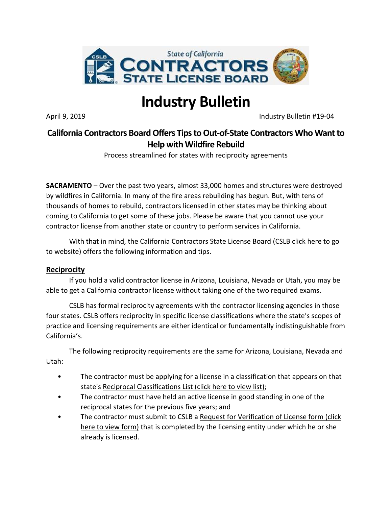

# **Industry Bulletin**

April 9, 2019 **Industry Bulletin #19-04** 

## **California Contractors Board Offers Tips to Out-of-State Contractors Who Want to Help with Wildfire Rebuild**

Process streamlined for states with reciprocity agreements

**SACRAMENTO** – Over the past two years, almost 33,000 homes and structures were destroyed by wildfires in California. In many of the fire areas rebuilding has begun. But, with tens of thousands of homes to rebuild, contractors licensed in other states may be thinking about coming to California to get some of these jobs. Please be aware that you cannot use your contractor license from another state or country to perform services in California.

With that in mind, the California Contractors State License Board (CSLB click here to go [to website\)](http://www.cslb.ca.gov/) offers the following information and tips.

### **Reciprocity**

If you hold a valid contractor license in Arizona, Louisiana, Nevada or Utah, you may be able to get a California contractor license without taking one of the two required exams.

CSLB has formal reciprocity agreements with the contractor licensing agencies in those four states. CSLB offers reciprocity in specific license classifications where the state's scopes of practice and licensing requirements are either identical or fundamentally indistinguishable from California's.

The following reciprocity requirements are the same for Arizona, Louisiana, Nevada and Utah:

- The contractor must be applying for a license in a classification that appears on that state's [Reciprocal Classifications List \(click here to view list\);](http://www.cslb.ca.gov/Contractors/Applicants/Reciprocity/Reciprocal_Classifications_List.aspx)
- The contractor must have held an active license in good standing in one of the reciprocal states for the previous five years; and
- The contractor must submit to CSLB a [Request for Verification of License form \(click](http://www.cslb.ca.gov/Resources/FormsAndApplications/RequestForVerificationOfLicenseReciprocity.pdf)  [here to view form\)](http://www.cslb.ca.gov/Resources/FormsAndApplications/RequestForVerificationOfLicenseReciprocity.pdf) that is completed by the licensing entity under which he or she already is licensed.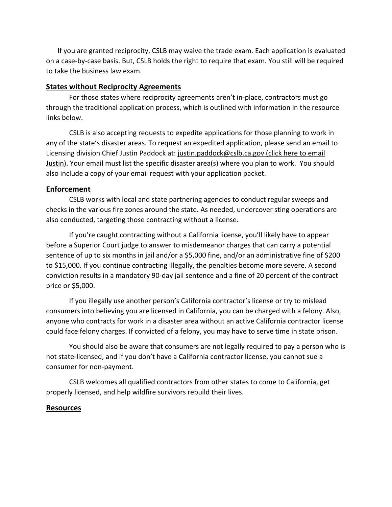If you are granted reciprocity, CSLB may waive the trade exam. Each application is evaluated on a case-by-case basis. But, CSLB holds the right to require that exam. You still will be required to take the business law exam.

#### **States without Reciprocity Agreements**

For those states where reciprocity agreements aren't in-place, contractors must go through the traditional application process, which is outlined with information in the resource links below.

CSLB is also accepting requests to expedite applications for those planning to work in any of the state's disaster areas. To request an expedited application, please send an email to Licensing division Chief Justin Paddock at: justin.paddock@cslb.ca.gov (click here to email [Justin\).](justin.paddock@cslb.ca.gov) Your email must list the specific disaster area(s) where you plan to work. You should also include a copy of your email request with your application packet.

#### **Enforcement**

CSLB works with local and state partnering agencies to conduct regular sweeps and checks in the various fire zones around the state. As needed, undercover sting operations are also conducted, targeting those contracting without a license.

If you're caught contracting without a California license, you'll likely have to appear before a Superior Court judge to answer to misdemeanor charges that can carry a potential sentence of up to six months in jail and/or a \$5,000 fine, and/or an administrative fine of \$200 to \$15,000. If you continue contracting illegally, the penalties become more severe. A second conviction results in a mandatory 90-day jail sentence and a fine of 20 percent of the contract price or \$5,000.

If you illegally use another person's California contractor's license or try to mislead consumers into believing you are licensed in California, you can be charged with a felony. Also, anyone who contracts for work in a disaster area without an active California contractor license could face felony charges. If convicted of a felony, you may have to serve time in state prison.

You should also be aware that consumers are not legally required to pay a person who is not state-licensed, and if you don't have a California contractor license, you cannot sue a consumer for non-payment.

CSLB welcomes all qualified contractors from other states to come to California, get properly licensed, and help wildfire survivors rebuild their lives.

#### **Resources**